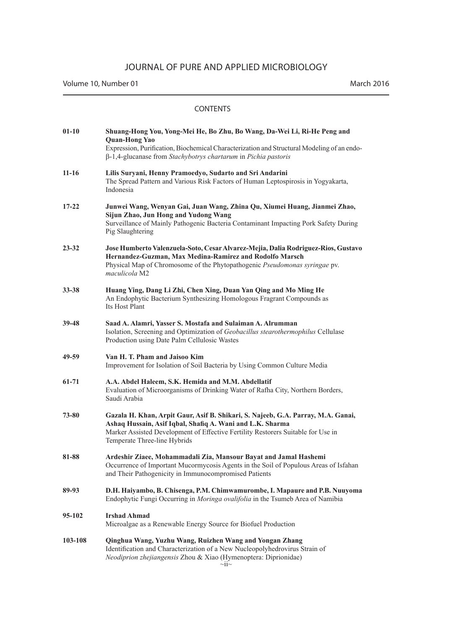Volume 10, Number 01 March 2016

| $01-10$   | Shuang-Hong You, Yong-Mei He, Bo Zhu, Bo Wang, Da-Wei Li, Ri-He Peng and<br><b>Quan-Hong Yao</b><br>Expression, Purification, Biochemical Characterization and Structural Modeling of an endo-<br>$\beta$ -1,4-glucanase from Stachybotrys chartarum in Pichia pastoris |
|-----------|-------------------------------------------------------------------------------------------------------------------------------------------------------------------------------------------------------------------------------------------------------------------------|
| $11 - 16$ | Lilis Suryani, Henny Pramoedyo, Sudarto and Sri Andarini<br>The Spread Pattern and Various Risk Factors of Human Leptospirosis in Yogyakarta,<br>Indonesia                                                                                                              |
| $17 - 22$ | Junwei Wang, Wenyan Gai, Juan Wang, Zhina Qu, Xiumei Huang, Jianmei Zhao,<br>Sijun Zhao, Jun Hong and Yudong Wang<br>Surveillance of Mainly Pathogenic Bacteria Contaminant Impacting Pork Safety During<br>Pig Slaughtering                                            |
| 23-32     | Jose Humberto Valenzuela-Soto, Cesar Alvarez-Mejia, Dalia Rodriguez-Rios, Gustavo<br>Hernandez-Guzman, Max Medina-Ramirez and Rodolfo Marsch<br>Physical Map of Chromosome of the Phytopathogenic Pseudomonas syringae pv.<br>maculicola M2                             |
| $33 - 38$ | Huang Ying, Dang Li Zhi, Chen Xing, Duan Yan Qing and Mo Ming He<br>An Endophytic Bacterium Synthesizing Homologous Fragrant Compounds as<br>Its Host Plant                                                                                                             |
| 39-48     | Saad A. Alamri, Yasser S. Mostafa and Sulaiman A. Alrumman<br>Isolation, Screening and Optimization of Geobacillus stearothermophilus Cellulase<br>Production using Date Palm Cellulosic Wastes                                                                         |
| 49-59     | Van H. T. Pham and Jaisoo Kim<br>Improvement for Isolation of Soil Bacteria by Using Common Culture Media                                                                                                                                                               |
| 61-71     | A.A. Abdel Haleem, S.K. Hemida and M.M. Abdellatif<br>Evaluation of Microorganisms of Drinking Water of Rafha City, Northern Borders,<br>Saudi Arabia                                                                                                                   |
| 73-80     | Gazala H. Khan, Arpit Gaur, Asif B. Shikari, S. Najeeb, G.A. Parray, M.A. Ganai,<br>Ashaq Hussain, Asif Iqbal, Shafiq A. Wani and L.K. Sharma<br>Marker Assisted Development of Effective Fertility Restorers Suitable for Use in<br>Temperate Three-line Hybrids       |
| 81-88     | Ardeshir Ziaee, Mohammadali Zia, Mansour Bayat and Jamal Hashemi<br>Occurrence of Important Mucormycosis Agents in the Soil of Populous Areas of Isfahan<br>and Their Pathogenicity in Immunocompromised Patients                                                       |
| 89-93     | D.H. Haiyambo, B. Chisenga, P.M. Chimwamurombe, I. Mapaure and P.B. Nuuyoma<br>Endophytic Fungi Occurring in Moringa ovalifolia in the Tsumeb Area of Namibia                                                                                                           |
| 95-102    | <b>Irshad Ahmad</b><br>Microalgae as a Renewable Energy Source for Biofuel Production                                                                                                                                                                                   |
| 103-108   | Qinghua Wang, Yuzhu Wang, Ruizhen Wang and Yongan Zhang<br>Identification and Characterization of a New Nucleopolyhedrovirus Strain of<br>Neodiprion zhejiangensis Zhou & Xiao (Hymenoptera: Diprionidae)                                                               |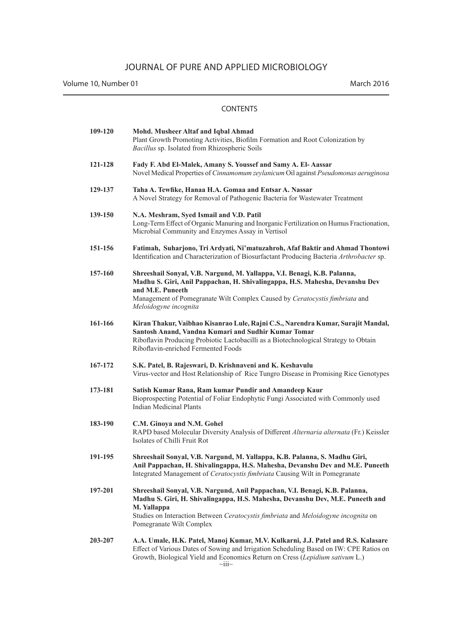| 109-120 | Mohd. Musheer Altaf and Iqbal Ahmad<br>Plant Growth Promoting Activities, Biofilm Formation and Root Colonization by<br>Bacillus sp. Isolated from Rhizospheric Soils                                                                                                                         |
|---------|-----------------------------------------------------------------------------------------------------------------------------------------------------------------------------------------------------------------------------------------------------------------------------------------------|
| 121-128 | Fady F. Abd El-Malek, Amany S. Youssef and Samy A. El-Aassar<br>Novel Medical Properties of Cinnamomum zeylanicum Oil against Pseudomonas aeruginosa                                                                                                                                          |
| 129-137 | Taha A. Tewfike, Hanaa H.A. Gomaa and Entsar A. Nassar<br>A Novel Strategy for Removal of Pathogenic Bacteria for Wastewater Treatment                                                                                                                                                        |
| 139-150 | N.A. Meshram, Syed Ismail and V.D. Patil<br>Long-Term Effect of Organic Manuring and Inorganic Fertilization on Humus Fractionation,<br>Microbial Community and Enzymes Assay in Vertisol                                                                                                     |
| 151-156 | Fatimah, Suharjono, Tri Ardyati, Ni'matuzahroh, Afaf Baktir and Ahmad Thontowi<br>Identification and Characterization of Biosurfactant Producing Bacteria Arthrobacter sp.                                                                                                                    |
| 157-160 | Shreeshail Sonyal, V.B. Nargund, M. Yallappa, V.I. Benagi, K.B. Palanna,<br>Madhu S. Giri, Anil Pappachan, H. Shivalingappa, H.S. Mahesha, Devanshu Dev<br>and M.E. Puneeth<br>Management of Pomegranate Wilt Complex Caused by Ceratocystis fimbriata and<br>Meloidogyne incognita           |
| 161-166 | Kiran Thakur, Vaibhao Kisanrao Lule, Rajni C.S., Narendra Kumar, Surajit Mandal,<br>Santosh Anand, Vandna Kumari and Sudhir Kumar Tomar<br>Riboflavin Producing Probiotic Lactobacilli as a Biotechnological Strategy to Obtain<br>Riboflavin-enriched Fermented Foods                        |
| 167-172 | S.K. Patel, B. Rajeswari, D. Krishnaveni and K. Keshavulu<br>Virus-vector and Host Relationship of Rice Tungro Disease in Promising Rice Genotypes                                                                                                                                            |
| 173-181 | Satish Kumar Rana, Ram kumar Pundir and Amandeep Kaur<br>Bioprospecting Potential of Foliar Endophytic Fungi Associated with Commonly used<br><b>Indian Medicinal Plants</b>                                                                                                                  |
| 183-190 | C.M. Ginoya and N.M. Gohel<br>RAPD based Molecular Diversity Analysis of Different Alternaria alternata (Fr.) Keissler<br>Isolates of Chilli Fruit Rot                                                                                                                                        |
| 191-195 | Shreeshail Sonyal, V.B. Nargund, M. Yallappa, K.B. Palanna, S. Madhu Giri,<br>Anil Pappachan, H. Shivalingappa, H.S. Mahesha, Devanshu Dev and M.E. Puneeth<br>Integrated Management of Ceratocystis fimbriata Causing Wilt in Pomegranate                                                    |
| 197-201 | Shreeshail Sonyal, V.B. Nargund, Anil Pappachan, V.I. Benagi, K.B. Palanna,<br>Madhu S. Giri, H. Shivalingappa, H.S. Mahesha, Devanshu Dev, M.E. Puneeth and<br>M. Yallappa<br>Studies on Interaction Between Ceratocystis fimbriata and Meloidogyne incognita on<br>Pomegranate Wilt Complex |
| 203-207 | A.A. Umale, H.K. Patel, Manoj Kumar, M.V. Kulkarni, J.J. Patel and R.S. Kalasare<br>Effect of Various Dates of Sowing and Irrigation Scheduling Based on IW: CPE Ratios on<br>Growth, Biological Yield and Economics Return on Cress (Lepidium sativum L.)                                    |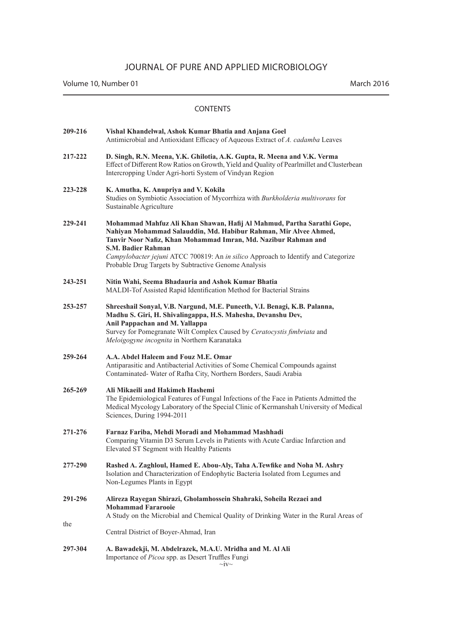Volume 10, Number 01 March 2016

| 209-216 | Vishal Khandelwal, Ashok Kumar Bhatia and Anjana Goel<br>Antimicrobial and Antioxidant Efficacy of Aqueous Extract of A. cadamba Leaves                                                                                                                                                                                                                                                 |
|---------|-----------------------------------------------------------------------------------------------------------------------------------------------------------------------------------------------------------------------------------------------------------------------------------------------------------------------------------------------------------------------------------------|
| 217-222 | D. Singh, R.N. Meena, Y.K. Ghilotia, A.K. Gupta, R. Meena and V.K. Verma<br>Effect of Different Row Ratios on Growth, Yield and Quality of Pearlmillet and Clusterbean<br>Intercropping Under Agri-horti System of Vindyan Region                                                                                                                                                       |
| 223-228 | K. Amutha, K. Anupriya and V. Kokila<br>Studies on Symbiotic Association of Mycorrhiza with Burkholderia multivorans for<br>Sustainable Agriculture                                                                                                                                                                                                                                     |
| 229-241 | Mohammad Mahfuz Ali Khan Shawan, Hafij Al Mahmud, Partha Sarathi Gope,<br>Nahiyan Mohammad Salauddin, Md. Habibur Rahman, Mir Alvee Ahmed,<br>Tanvir Noor Nafiz, Khan Mohammad Imran, Md. Nazibur Rahman and<br><b>S.M. Badier Rahman</b><br>Campylobacter jejuni ATCC 700819: An in silico Approach to Identify and Categorize<br>Probable Drug Targets by Subtractive Genome Analysis |
| 243-251 | Nitin Wahi, Seema Bhadauria and Ashok Kumar Bhatia<br>MALDI-Tof Assisted Rapid Identification Method for Bacterial Strains                                                                                                                                                                                                                                                              |
| 253-257 | Shreeshail Sonyal, V.B. Nargund, M.E. Puneeth, V.I. Benagi, K.B. Palanna,<br>Madhu S. Giri, H. Shivalingappa, H.S. Mahesha, Devanshu Dev,<br>Anil Pappachan and M. Yallappa<br>Survey for Pomegranate Wilt Complex Caused by Ceratocystis fimbriata and<br>Meloigogyne incognita in Northern Karanataka                                                                                 |
| 259-264 | A.A. Abdel Haleem and Fouz M.E. Omar<br>Antiparasitic and Antibacterial Activities of Some Chemical Compounds against<br>Contaminated- Water of Rafha City, Northern Borders, Saudi Arabia                                                                                                                                                                                              |
| 265-269 | Ali Mikaeili and Hakimeh Hashemi<br>The Epidemiological Features of Fungal Infections of the Face in Patients Admitted the<br>Medical Mycology Laboratory of the Special Clinic of Kermanshah University of Medical<br>Sciences, During 1994-2011                                                                                                                                       |
| 271-276 | Farnaz Fariba, Mehdi Moradi and Mohammad Mashhadi<br>Comparing Vitamin D3 Serum Levels in Patients with Acute Cardiac Infarction and<br>Elevated ST Segment with Healthy Patients                                                                                                                                                                                                       |
| 277-290 | Rashed A. Zaghloul, Hamed E. Abou-Aly, Taha A. Tewfike and Noha M. Ashry<br>Isolation and Characterization of Endophytic Bacteria Isolated from Legumes and<br>Non-Legumes Plants in Egypt                                                                                                                                                                                              |
| 291-296 | Alireza Rayegan Shirazi, Gholamhossein Shahraki, Soheila Rezaei and<br><b>Mohammad Fararooie</b><br>A Study on the Microbial and Chemical Quality of Drinking Water in the Rural Areas of                                                                                                                                                                                               |
| the     | Central District of Boyer-Ahmad, Iran                                                                                                                                                                                                                                                                                                                                                   |
| 297-304 | A. Bawadekji, M. Abdelrazek, M.A.U. Mridha and M. Al Ali<br>Importance of Picoa spp. as Desert Truffles Fungi                                                                                                                                                                                                                                                                           |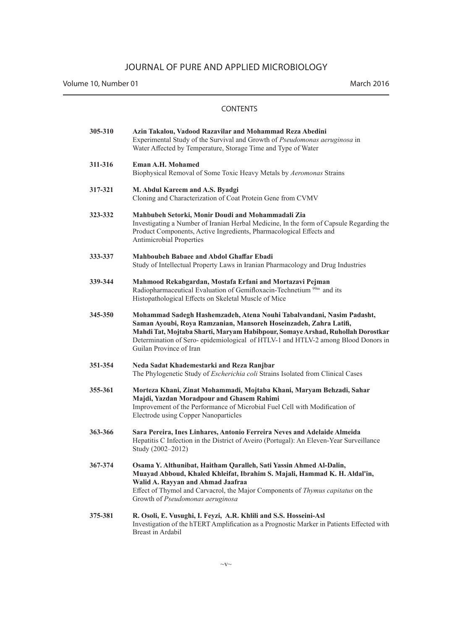| 305-310 | Azin Takalou, Vadood Razavilar and Mohammad Reza Abedini<br>Experimental Study of the Survival and Growth of Pseudomonas aeruginosa in<br>Water Affected by Temperature, Storage Time and Type of Water                                                                                                                                     |
|---------|---------------------------------------------------------------------------------------------------------------------------------------------------------------------------------------------------------------------------------------------------------------------------------------------------------------------------------------------|
| 311-316 | <b>Eman A.H. Mohamed</b><br>Biophysical Removal of Some Toxic Heavy Metals by Aeromonas Strains                                                                                                                                                                                                                                             |
| 317-321 | M. Abdul Kareem and A.S. Byadgi<br>Cloning and Characterization of Coat Protein Gene from CVMV                                                                                                                                                                                                                                              |
| 323-332 | Mahbubeh Setorki, Monir Doudi and Mohammadali Zia<br>Investigating a Number of Iranian Herbal Medicine, In the form of Capsule Regarding the<br>Product Components, Active Ingredients, Pharmacological Effects and<br><b>Antimicrobial Properties</b>                                                                                      |
| 333-337 | <b>Mahboubeh Babaee and Abdol Ghaffar Ebadi</b><br>Study of Intellectual Property Laws in Iranian Pharmacology and Drug Industries                                                                                                                                                                                                          |
| 339-344 | Mahmood Rekabgardan, Mostafa Erfani and Mortazavi Pejman<br>Radiopharmaceutical Evaluation of Gemifloxacin-Technetium <sup>99m</sup> and its<br>Histopathological Effects on Skeletal Muscle of Mice                                                                                                                                        |
| 345-350 | Mohammad Sadegh Hashemzadeh, Atena Nouhi Tabalvandani, Nasim Padasht,<br>Saman Ayoubi, Roya Ramzanian, Mansoreh Hoseinzadeh, Zahra Latifi,<br>Mahdi Tat, Mojtaba Sharti, Maryam Habibpour, Somaye Arshad, Ruhollah Dorostkar<br>Determination of Sero-epidemiological of HTLV-1 and HTLV-2 among Blood Donors in<br>Guilan Province of Iran |
| 351-354 | Neda Sadat Khademestarki and Reza Ranjbar<br>The Phylogenetic Study of Escherichia coli Strains Isolated from Clinical Cases                                                                                                                                                                                                                |
| 355-361 | Morteza Khani, Zinat Mohammadi, Mojtaba Khani, Maryam Behzadi, Sahar<br>Majdi, Yazdan Moradpour and Ghasem Rahimi<br>Improvement of the Performance of Microbial Fuel Cell with Modification of<br>Electrode using Copper Nanoparticles                                                                                                     |
| 363-366 | Sara Pereira, Ines Linhares, Antonio Ferreira Neves and Adelaide Almeida<br>Hepatitis C Infection in the District of Aveiro (Portugal): An Eleven-Year Surveillance<br>Study (2002–2012)                                                                                                                                                    |
| 367-374 | Osama Y. Althunibat, Haitham Qaralleh, Sati Yassin Ahmed Al-Dalin,<br>Muayad Abboud, Khaled Khleifat, Ibrahim S. Majali, Hammad K. H. Aldal'in,<br>Walid A. Rayyan and Ahmad Jaafraa<br>Effect of Thymol and Carvacrol, the Major Components of Thymus capitatus on the<br>Growth of Pseudomonas aeruginosa                                 |
| 375-381 | R. Osoli, E. Vusughi, I. Feyzi, A.R. Khlili and S.S. Hosseini-Asl<br>Investigation of the hTERT Amplification as a Prognostic Marker in Patients Effected with<br>Breast in Ardabil                                                                                                                                                         |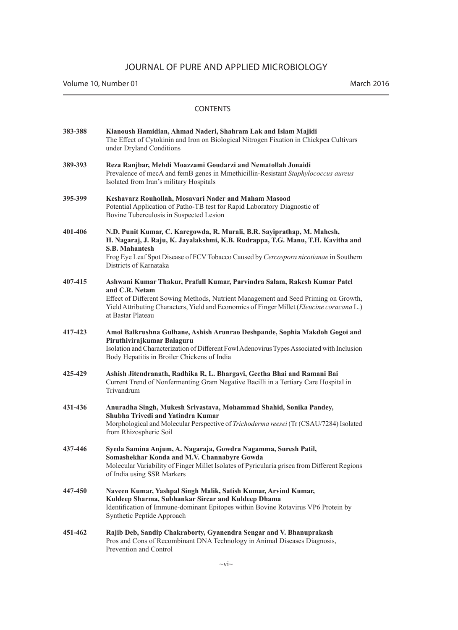| 383-388 | Kianoush Hamidian, Ahmad Naderi, Shahram Lak and Islam Majidi<br>The Effect of Cytokinin and Iron on Biological Nitrogen Fixation in Chickpea Cultivars<br>under Dryland Conditions                                                                                                                    |
|---------|--------------------------------------------------------------------------------------------------------------------------------------------------------------------------------------------------------------------------------------------------------------------------------------------------------|
| 389-393 | Reza Ranjbar, Mehdi Moazzami Goudarzi and Nematollah Jonaidi<br>Prevalence of mecA and femB genes in Mmethicillin-Resistant Staphylococcus aureus<br>Isolated from Iran's military Hospitals                                                                                                           |
| 395-399 | Keshavarz Rouhollah, Mosavari Nader and Maham Masood<br>Potential Application of Patho-TB test for Rapid Laboratory Diagnostic of<br>Bovine Tuberculosis in Suspected Lesion                                                                                                                           |
| 401-406 | N.D. Punit Kumar, C. Karegowda, R. Murali, B.R. Sayiprathap, M. Mahesh,<br>H. Nagaraj, J. Raju, K. Jayalakshmi, K.B. Rudrappa, T.G. Manu, T.H. Kavitha and<br><b>S.B. Mahantesh</b><br>Frog Eye Leaf Spot Disease of FCV Tobacco Caused by Cercospora nicotianae in Southern<br>Districts of Karnataka |
| 407-415 | Ashwani Kumar Thakur, Prafull Kumar, Parvindra Salam, Rakesh Kumar Patel<br>and C.R. Netam<br>Effect of Different Sowing Methods, Nutrient Management and Seed Priming on Growth,<br>Yield Attributing Characters, Yield and Economics of Finger Millet (Eleucine coracana L.)<br>at Bastar Plateau    |
| 417-423 | Amol Balkrushna Gulhane, Ashish Arunrao Deshpande, Sophia Makdoh Gogoi and<br>Piruthivirajkumar Balaguru<br>Isolation and Characterization of Different Fowl Adenovirus Types Associated with Inclusion<br>Body Hepatitis in Broiler Chickens of India                                                 |
| 425-429 | Ashish Jitendranath, Radhika R, L. Bhargavi, Geetha Bhai and Ramani Bai<br>Current Trend of Nonfermenting Gram Negative Bacilli in a Tertiary Care Hospital in<br>Trivandrum                                                                                                                           |
| 431-436 | Anuradha Singh, Mukesh Srivastava, Mohammad Shahid, Sonika Pandey,<br>Shubha Trivedi and Yatindra Kumar<br>Morphological and Molecular Perspective of Trichoderma reesei (Tr (CSAU/7284) Isolated<br>from Rhizospheric Soil                                                                            |
| 437-446 | Syeda Samina Anjum, A. Nagaraja, Gowdra Nagamma, Suresh Patil,<br>Somashekhar Konda and M.V. Channabyre Gowda<br>Molecular Variability of Finger Millet Isolates of Pyricularia grisea from Different Regions<br>of India using SSR Markers                                                            |
| 447-450 | Naveen Kumar, Yashpal Singh Malik, Satish Kumar, Arvind Kumar,<br>Kuldeep Sharma, Subhankar Sircar and Kuldeep Dhama<br>Identification of Immune-dominant Epitopes within Bovine Rotavirus VP6 Protein by<br>Synthetic Peptide Approach                                                                |
| 451-462 | Rajib Deb, Sandip Chakraborty, Gyanendra Sengar and V. Bhanuprakash<br>Pros and Cons of Recombinant DNA Technology in Animal Diseases Diagnosis,<br>Prevention and Control                                                                                                                             |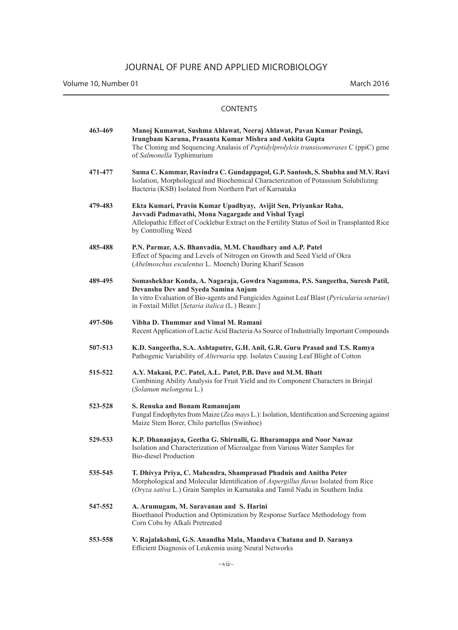Volume 10, Number 01 March 2016

| 463-469 | Manoj Kumawat, Sushma Ahlawat, Neeraj Ahlawat, Pavan Kumar Pesingi,<br>Irungbam Karuna, Prasanta Kumar Mishra and Ankita Gupta<br>The Cloning and Sequencing Analasis of <i>Peptidylprolylcis transisomerases</i> C (ppiC) gene<br>of Salmonella Typhimurium          |
|---------|-----------------------------------------------------------------------------------------------------------------------------------------------------------------------------------------------------------------------------------------------------------------------|
| 471-477 | Suma C. Kammar, Ravindra C. Gundappagol, G.P. Santosh, S. Shubha and M.V. Ravi<br>Isolation, Morphological and Biochemical Characterization of Potassium Solubilizing<br>Bacteria (KSB) Isolated from Northern Part of Karnataka                                      |
| 479-483 | Ekta Kumari, Pravin Kumar Upadhyay, Avijit Sen, Priyankar Raha,<br>Javvadi Padmavathi, Mona Nagargade and Vishal Tyagi<br>Allelopathic Effect of Cocklebur Extract on the Fertility Status of Soil in Transplanted Rice<br>by Controlling Weed                        |
| 485-488 | P.N. Parmar, A.S. Bhanvadia, M.M. Chaudhary and A.P. Patel<br>Effect of Spacing and Levels of Nitrogen on Growth and Seed Yield of Okra<br>(Abelmoschus esculentus L. Moench) During Kharif Season                                                                    |
| 489-495 | Somashekhar Konda, A. Nagaraja, Gowdra Nagamma, P.S. Sangeetha, Suresh Patil,<br>Devanshu Dev and Syeda Samina Anjum<br>In vitro Evaluation of Bio-agents and Fungicides Against Leaf Blast (Pyricularia setariae)<br>in Foxtail Millet [Setaria italica (L.) Beauv.] |
| 497-506 | Vibha D. Thummar and Vimal M. Ramani<br>Recent Application of Lactic Acid Bacteria As Source of Industrially Important Compounds                                                                                                                                      |
| 507-513 | K.D. Sangeetha, S.A. Ashtaputre, G.H. Anil, G.R. Guru Prasad and T.S. Ramya<br>Pathogenic Variability of Alternaria spp. Isolates Causing Leaf Blight of Cotton                                                                                                       |
| 515-522 | A.Y. Makani, P.C. Patel, A.L. Patel, P.B. Dave and M.M. Bhatt<br>Combining Ability Analysis for Fruit Yield and its Component Characters in Brinjal<br>(Solanum melongena L.)                                                                                         |
| 523-528 | S. Renuka and Bonam Ramanujam<br>Fungal Endophytes from Maize (Zea mays L.): Isolation, Identification and Screening against<br>Maize Stem Borer, Chilo partellus (Swinhoe)                                                                                           |
| 529-533 | K.P. Dhananjaya, Geetha G. Shirnalli, G. Bharamappa and Noor Nawaz<br>Isolation and Characterization of Microalgae from Various Water Samples for<br>Bio-diesel Production                                                                                            |
| 535-545 | T. Dhivya Priya, C. Mahendra, Shamprasad Phadnis and Anitha Peter<br>Morphological and Molecular Identification of Aspergillus flavus Isolated from Rice<br>(Oryza sativa L.) Grain Samples in Karnataka and Tamil Nadu in Southern India                             |
| 547-552 | A. Arumugam, M. Saravanan and S. Harini<br>Bioethanol Production and Optimization by Response Surface Methodology from<br>Corn Cobs by Alkali Pretreated                                                                                                              |
| 553-558 | V. Rajalakshmi, G.S. Anandha Mala, Mandava Chatana and D. Saranya<br>Efficient Diagnosis of Leukemia using Neural Networks                                                                                                                                            |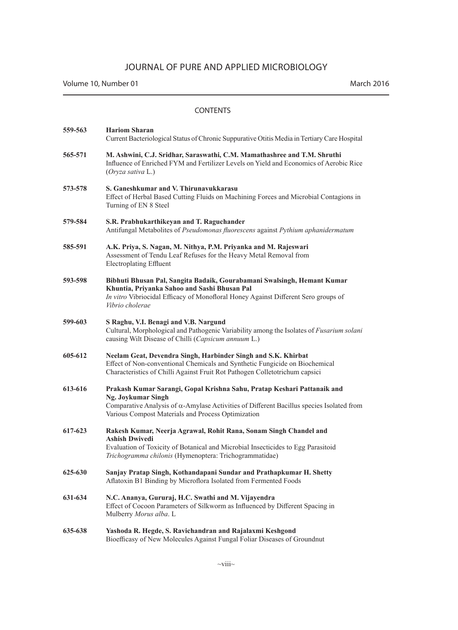Volume 10, Number 01 March 2016

| 559-563 | <b>Hariom Sharan</b><br>Current Bacteriological Status of Chronic Suppurative Otitis Media in Tertiary Care Hospital                                                                                                                                    |
|---------|---------------------------------------------------------------------------------------------------------------------------------------------------------------------------------------------------------------------------------------------------------|
| 565-571 | M. Ashwini, C.J. Sridhar, Saraswathi, C.M. Mamathashree and T.M. Shruthi<br>Influence of Enriched FYM and Fertilizer Levels on Yield and Economics of Aerobic Rice<br>(Orvza sativa L.)                                                                 |
| 573-578 | S. Ganeshkumar and V. Thirunavukkarasu<br>Effect of Herbal Based Cutting Fluids on Machining Forces and Microbial Contagions in<br>Turning of EN 8 Steel                                                                                                |
| 579-584 | S.R. Prabhukarthikeyan and T. Raguchander<br>Antifungal Metabolites of Pseudomonas fluorescens against Pythium aphanidermatum                                                                                                                           |
| 585-591 | A.K. Priya, S. Nagan, M. Nithya, P.M. Priyanka and M. Rajeswari<br>Assessment of Tendu Leaf Refuses for the Heavy Metal Removal from<br><b>Electroplating Effluent</b>                                                                                  |
| 593-598 | Bibhuti Bhusan Pal, Sangita Badaik, Gourabamani Swalsingh, Hemant Kumar<br>Khuntia, Priyanka Sahoo and Sashi Bhusan Pal<br>In vitro Vibriocidal Efficacy of Monofloral Honey Against Different Sero groups of<br>Vibrio cholerae                        |
| 599-603 | S Raghu, V.I. Benagi and V.B. Nargund<br>Cultural, Morphological and Pathogenic Variability among the Isolates of Fusarium solani<br>causing Wilt Disease of Chilli (Capsicum annuum L.)                                                                |
| 605-612 | Neelam Geat, Devendra Singh, Harbinder Singh and S.K. Khirbat<br>Effect of Non-conventional Chemicals and Synthetic Fungicide on Biochemical<br>Characteristics of Chilli Against Fruit Rot Pathogen Colletotrichum capsici                             |
| 613-616 | Prakash Kumar Sarangi, Gopal Krishna Sahu, Pratap Keshari Pattanaik and<br>Ng. Joykumar Singh<br>Comparative Analysis of $\alpha$ -Amylase Activities of Different Bacillus species Isolated from<br>Various Compost Materials and Process Optimization |
| 617-623 | Rakesh Kumar, Neerja Agrawal, Rohit Rana, Sonam Singh Chandel and<br><b>Ashish Dwivedi</b><br>Evaluation of Toxicity of Botanical and Microbial Insecticides to Egg Parasitoid<br>Trichogramma chilonis (Hymenoptera: Trichogrammatidae)                |
| 625-630 | Sanjay Pratap Singh, Kothandapani Sundar and Prathapkumar H. Shetty<br>Aflatoxin B1 Binding by Microflora Isolated from Fermented Foods                                                                                                                 |
| 631-634 | N.C. Ananya, Gururaj, H.C. Swathi and M. Vijayendra<br>Effect of Cocoon Parameters of Silkworm as Influenced by Different Spacing in<br>Mulberry Morus alba. L                                                                                          |
| 635-638 | Yashoda R. Hegde, S. Ravichandran and Rajalaxmi Keshgond<br>Bioefficasy of New Molecules Against Fungal Foliar Diseases of Groundnut                                                                                                                    |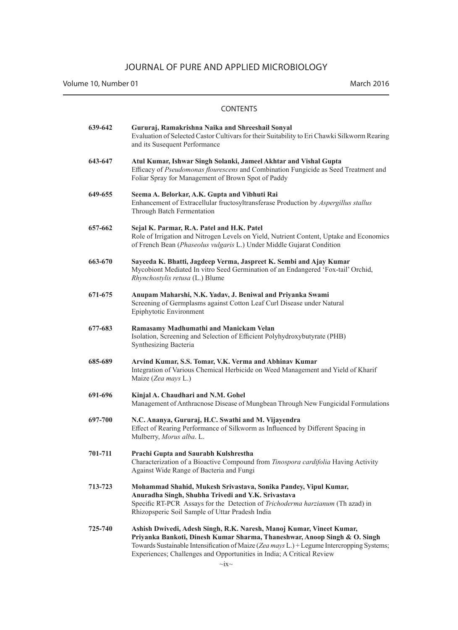Volume 10, Number 01 March 2016

| 639-642 | Gururaj, Ramakrishna Naika and Shreeshail Sonyal<br>Evaluation of Selected Castor Cultivars for their Suitability to Eri Chawki Silkworm Rearing<br>and its Susequent Performance                                                                                                                                        |
|---------|--------------------------------------------------------------------------------------------------------------------------------------------------------------------------------------------------------------------------------------------------------------------------------------------------------------------------|
| 643-647 | Atul Kumar, Ishwar Singh Solanki, Jameel Akhtar and Vishal Gupta<br>Efficacy of Pseudomonas flourescens and Combination Fungicide as Seed Treatment and<br>Foliar Spray for Management of Brown Spot of Paddy                                                                                                            |
| 649-655 | Seema A. Belorkar, A.K. Gupta and Vibhuti Rai<br>Enhancement of Extracellular fructosyltransferase Production by Aspergillus stallus<br>Through Batch Fermentation                                                                                                                                                       |
| 657-662 | Sejal K. Parmar, R.A. Patel and H.K. Patel<br>Role of Irrigation and Nitrogen Levels on Yield, Nutrient Content, Uptake and Economics<br>of French Bean (Phaseolus vulgaris L.) Under Middle Gujarat Condition                                                                                                           |
| 663-670 | Sayeeda K. Bhatti, Jagdeep Verma, Jaspreet K. Sembi and Ajay Kumar<br>Mycobiont Mediated In vitro Seed Germination of an Endangered 'Fox-tail' Orchid,<br><i>Rhynchostylis retusa</i> (L.) Blume                                                                                                                         |
| 671-675 | Anupam Maharshi, N.K. Yadav, J. Beniwal and Priyanka Swami<br>Screening of Germplasms against Cotton Leaf Curl Disease under Natural<br>Epiphytotic Environment                                                                                                                                                          |
| 677-683 | Ramasamy Madhumathi and Manickam Velan<br>Isolation, Screening and Selection of Efficient Polyhydroxybutyrate (PHB)<br>Synthesizing Bacteria                                                                                                                                                                             |
| 685-689 | Arvind Kumar, S.S. Tomar, V.K. Verma and Abhinav Kumar<br>Integration of Various Chemical Herbicide on Weed Management and Yield of Kharif<br>Maize (Zea mays L.)                                                                                                                                                        |
| 691-696 | Kinjal A. Chaudhari and N.M. Gohel<br>Management of Anthracnose Disease of Mungbean Through New Fungicidal Formulations                                                                                                                                                                                                  |
| 697-700 | N.C. Ananya, Gururaj, H.C. Swathi and M. Vijayendra<br>Effect of Rearing Performance of Silkworm as Influenced by Different Spacing in<br>Mulberry, Morus alba. L.                                                                                                                                                       |
| 701-711 | Prachi Gupta and Saurabh Kulshrestha<br>Characterization of a Bioactive Compound from Tinospora cardifolia Having Activity<br>Against Wide Range of Bacteria and Fungi                                                                                                                                                   |
| 713-723 | Mohammad Shahid, Mukesh Srivastava, Sonika Pandey, Vipul Kumar,<br>Anuradha Singh, Shubha Trivedi and Y.K. Srivastava<br>Specific RT-PCR Assays for the Detection of Trichoderma harzianum (Th azad) in<br>Rhizopsperic Soil Sample of Uttar Pradesh India                                                               |
| 725-740 | Ashish Dwivedi, Adesh Singh, R.K. Naresh, Manoj Kumar, Vineet Kumar,<br>Priyanka Bankoti, Dinesh Kumar Sharma, Thaneshwar, Anoop Singh & O. Singh<br>Towards Sustainable Intensification of Maize (Zea mays L.) + Legume Intercropping Systems;<br>Experiences; Challenges and Opportunities in India; A Critical Review |